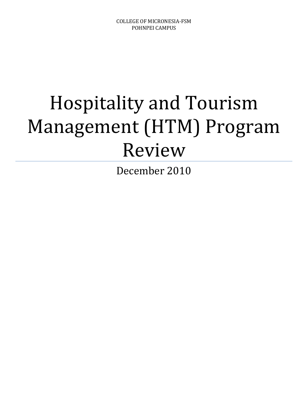# Hospitality and Tourism Management (HTM) Program Review

December 2010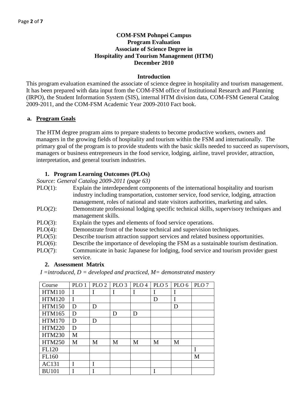# **COM-FSM Pohnpei Campus Program Evaluation Associate of Science Degree in Hospitality and Tourism Management (HTM) December 2010**

#### **Introduction**

This program evaluation examined the associate of science degree in hospitality and tourism management. It has been prepared with data input from the COM-FSM office of Institutional Research and Planning (IRPO), the Student Information System (SIS), internal HTM division data, COM-FSM General Catalog 2009-2011, and the COM-FSM Academic Year 2009-2010 Fact book.

#### **a. Program Goals**

The HTM degree program aims to prepare students to become productive workers, owners and managers in the growing fields of hospitality and tourism within the FSM and internationally. The primary goal of the program is to provide students with the basic skills needed to succeed as supervisors, managers or business entrepreneurs in the food service, lodging, airline, travel provider, attraction, interpretation, and general tourism industries.

## **1. Program Learning Outcomes (PLOs)**

*Source: General Catalog 2009-2011 (page 63)*

- PLO(1): Explain the interdependent components of the international hospitality and tourism industry including transportation, customer service, food service, lodging, attraction management, roles of national and state visitors authorities, marketing and sales.
- PLO(2): Demonstrate professional lodging specific technical skills, supervisory techniques and management skills.
- PLO(3): Explain the types and elements of food service operations.
- PLO(4): Demonstrate front of the house technical and supervision techniques.
- PLO(5): Describe tourism attraction support services and related business opportunities.
- PLO(6): Describe the importance of developing the FSM as a sustainable tourism destination.
- PLO(7): Communicate in basic Japanese for lodging, food service and tourism provider guest service.

#### **2. Assessment Matrix**

*I =introduced, D = developed and practiced, M= demonstrated mastery*

| Course        | PLO <sub>1</sub> | PLO <sub>2</sub> | PLO <sub>3</sub> | PLO <sub>4</sub> | PLO <sub>5</sub> | PLO <sub>6</sub> | PLO <sub>7</sub> |
|---------------|------------------|------------------|------------------|------------------|------------------|------------------|------------------|
| <b>HTM110</b> | I                | I                |                  | I                |                  | I                |                  |
| <b>HTM120</b> | I                |                  |                  |                  | D                | I                |                  |
| <b>HTM150</b> | D                | D                |                  |                  |                  | D                |                  |
| <b>HTM165</b> | D                |                  | D                | D                |                  |                  |                  |
| <b>HTM170</b> | D                | D                |                  |                  |                  |                  |                  |
| <b>HTM220</b> | D                |                  |                  |                  |                  |                  |                  |
| <b>HTM230</b> | M                |                  |                  |                  |                  |                  |                  |
| <b>HTM250</b> | M                | M                | M                | M                | M                | M                |                  |
| <b>FL120</b>  |                  |                  |                  |                  |                  |                  |                  |
| FL160         |                  |                  |                  |                  |                  |                  | M                |
| AC131         | I                | I                |                  |                  |                  |                  |                  |
| <b>BU101</b>  |                  |                  |                  |                  |                  |                  |                  |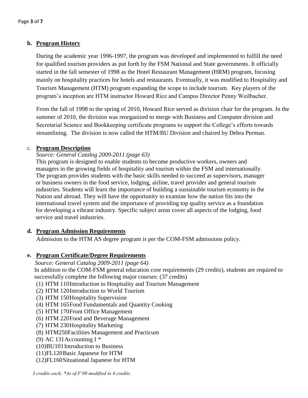# **b. Program History**

During the academic year 1996-1997, the program was developed and implemented to fulfill the need for qualified tourism providers as put forth by the FSM National and State governments. It officially started in the fall semester of 1998 as the Hotel Restaurant Management (HRM) program, focusing mainly on hospitality practices for hotels and restaurants. Eventually, it was modified to Hospitality and Tourism Management (HTM) program expanding the scope to include tourism. Key players of the program's inception are HTM instructor Howard Rice and Campus Director Penny Weilbacher.

From the fall of 1998 to the spring of 2010, Howard Rice served as division chair for the program. In the summer of 2010, the division was reorganized to merge with Business and Computer division and Secretarial Science and Bookkeeping certificate programs to support the College's efforts towards streamlining. The division is now called the HTM/BU Division and chaired by Debra Perman.

#### *c.* **Program Description**

#### *Source: General Catalog 2009-2011 (page 63)*

This program is designed to enable students to become productive workers, owners and managers in the growing fields of hospitality and tourism within the FSM and internationally. The program provides students with the basic skills needed to succeed as supervisors, manager or business owners in the food service, lodging, airline, travel provider and general tourism industries. Students will learn the importance of building a sustainable tourism economy in the Nation and abroad. They will have the opportunity to examine how the nation fits into the international travel system and the importance of providing top quality service as a foundation for developing a vibrant industry. Specific subject areas cover all aspects of the lodging, food service and travel industries.

#### **d. Program Admission Requirements**

Admission to the HTM AS degree program is per the COM-FSM admissions policy.

# **e. Program Certificate/Degree Requirements**

*Source: General Catalog 2009-2011 (page 64)* In addition to the COM-FSM general education core requirements (29 credits), students are required to successfully complete the following major courses: (37 credits)

- (1) HTM 110Introduction to Hospitality and Tourism Management
- (2) HTM 120Introduction to World Tourism
- (3) HTM 150Hospitality Supervision
- (4) HTM 165Food Fundamentals and Quantity Cooking
- (5) HTM 170Front Office Management
- (6) HTM 220Food and Beverage Management
- (7) HTM 230Hospitality Marketing
- (8) HTM250Facilities Management and Practicum
- (9) AC 131 Accounting I  $*$
- (10)BU101Introduction to Business
- (11)FL120Basic Japanese for HTM
- (12)FL160Situational Japanese for HTM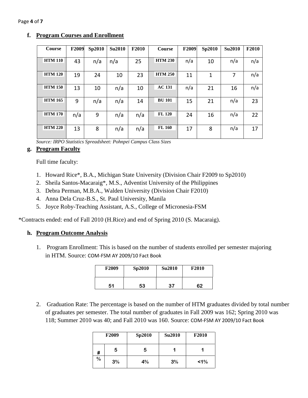| Course         | F2009 | Sp2010 | <b>Su2010</b> | F2010 | <b>Course</b>  | F2009 | Sp2010 | <b>Su2010</b> | F2010 |
|----------------|-------|--------|---------------|-------|----------------|-------|--------|---------------|-------|
| <b>HTM 110</b> | 43    | n/a    | n/a           | 25    | <b>HTM 230</b> | n/a   | 10     | n/a           | n/a   |
| <b>HTM 120</b> | 19    | 24     | 10            | 23    | <b>HTM 250</b> | 11    | 1      | 7             | n/a   |
| <b>HTM 150</b> | 13    | 10     | n/a           | 10    | <b>AC 131</b>  | n/a   | 21     | 16            | n/a   |
| <b>HTM 165</b> | 9     | n/a    | n/a           | 14    | <b>BU 101</b>  | 15    | 21     | n/a           | 23    |
| <b>HTM 170</b> | n/a   | 9      | n/a           | n/a   | <b>FL 120</b>  | 24    | 16     | n/a           | 22    |
| <b>HTM 220</b> | 13    | 8      | n/a           | n/a   | <b>FL 160</b>  | 17    | 8      | n/a           | 17    |

# **f. Program Courses and Enrollment**

*Source: IRPO Statistics Spreadsheet: Pohnpei Campus Class Sizes*

## **g. Program Faculty**

Full time faculty:

- 1. Howard Rice\*, B.A., Michigan State University (Division Chair F2009 to Sp2010)
- 2. Sheila Santos-Macaraig\*, M.S., Adventist University of the Philippines
- 3. Debra Perman, M.B.A., Walden University (Division Chair F2010)
- 4. Anna Dela Cruz-B.S., St. Paul University, Manila
- 5. Joyce Roby-Teaching Assistant, A.S., College of Micronesia-FSM

\*Contracts ended: end of Fall 2010 (H.Rice) and end of Spring 2010 (S. Macaraig).

# **h. Program Outcome Analysis**

1. Program Enrollment: This is based on the number of students enrolled per semester majoring in HTM. Source: COM-FSM AY 2009/10 Fact Book

| F <sub>2009</sub> | Sp2010 | <b>Su2010</b> | <b>F2010</b> |
|-------------------|--------|---------------|--------------|
| 51                | 53     | 37            | 62           |

2. Graduation Rate: The percentage is based on the number of HTM graduates divided by total number of graduates per semester. The total number of graduates in Fall 2009 was 162; Spring 2010 was 118; Summer 2010 was 40; and Fall 2010 was 160. Source: COM-FSM AY 2009/10 Fact Book

|      | F <sub>2009</sub> | Sp2010 | <b>Su2010</b> | <b>F2010</b> |
|------|-------------------|--------|---------------|--------------|
| #    | 5                 | 5      |               |              |
| $\%$ | 3%                | 4%     | 3%            | $1\%$        |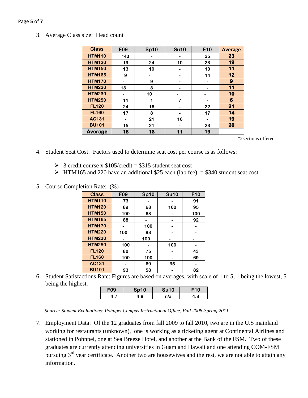#### Page **5** of **7**

3. Average Class size: Head count

| <b>Class</b>   | F <sub>09</sub> | <b>Sp10</b> | <b>Su10</b> | F10 | <b>Average</b> |
|----------------|-----------------|-------------|-------------|-----|----------------|
| <b>HTM110</b>  | $*43$           |             |             | 25  | 23             |
| <b>HTM120</b>  | 19              | 24          | 10          | 23  | 19             |
| <b>HTM150</b>  | 13              | 10          |             | 10  | 11             |
| <b>HTM165</b>  | 9               |             |             | 14  | 12             |
| <b>HTM170</b>  | -               | 9           |             | -   | 9              |
| <b>HTM220</b>  | 13              | 8           |             |     | 11             |
| <b>HTM230</b>  |                 | 10          |             |     | 10             |
| <b>HTM250</b>  | 11              | 1           | 7           |     | 6              |
| <b>FL120</b>   | 24              | 16          |             | 22  | 21             |
| <b>FL160</b>   | 17              | 8           |             | 17  | 14             |
| AC131          |                 | 21          | 16          |     | 19             |
| <b>BU101</b>   | 15              | 21          |             | 23  | 20             |
| <b>Average</b> | 18              | 13          | 11          | 19  |                |

\*2sections offered

- 4. Student Seat Cost: Factors used to determine seat cost per course is as follows:
	- $\geq$  3 credit course x \$105/credit = \$315 student seat cost
	- $\triangleright$  HTM165 and 220 have an additional \$25 each (lab fee) = \$340 student seat cost
- 5. Course Completion Rate: (%)

| <b>Class</b>  | F <sub>09</sub> | <b>Sp10</b> | <b>Su10</b> | F10 |
|---------------|-----------------|-------------|-------------|-----|
| <b>HTM110</b> | 73              |             |             | 91  |
| <b>HTM120</b> | 89              | 68          | 100         | 95  |
| <b>HTM150</b> | 100             | 63          |             | 100 |
| <b>HTM165</b> | 88              |             |             | 92  |
| <b>HTM170</b> |                 | 100         |             |     |
| <b>HTM220</b> | 100             | 88          |             |     |
| <b>HTM230</b> |                 | 100         |             |     |
| <b>HTM250</b> | 100             |             | 100         |     |
| <b>FL120</b>  | 80              | 75          |             | 43  |
| <b>FL160</b>  | 100             | 100         |             | 69  |
| <b>AC131</b>  |                 | 69          | 35          |     |
| <b>BU101</b>  | 93              | 58          |             | 82  |

6. Student Satisfactions Rate: Figures are based on averages, with scale of 1 to 5; 1 being the lowest, 5 being the highest.

| 09 | $-10$ | Su10 |    |
|----|-------|------|----|
|    | -8    | n/a  | .8 |

*Source: Student Evaluations: Pohnpei Campus Instructional Office, Fall 2008-Spring 2011*

7. Employment Data: Of the 12 graduates from fall 2009 to fall 2010, two are in the U.S mainland working for restaurants (unknown), one is working as a ticketing agent at Continental Airlines and stationed in Pohnpei, one at Sea Breeze Hotel, and another at the Bank of the FSM. Two of these graduates are currently attending universities in Guam and Hawaii and one attending COM-FSM pursuing  $3<sup>rd</sup>$  year certificate. Another two are housewives and the rest, we are not able to attain any information.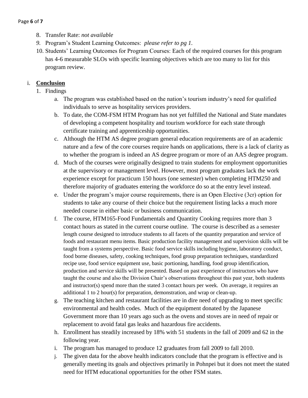- 8. Transfer Rate: *not available*
- *9.* Program's Student Learning Outcomes: *please refer to pg 1.*
- 10. Students' Learning Outcomes for Program Courses: Each of the required courses for this program has 4-6 measurable SLOs with specific learning objectives which are too many to list for this program review.

# i. **Conclusion**

# 1. Findings

- a. The program was established based on the nation's tourism industry's need for qualified individuals to serve as hospitality services providers.
- b. To date, the COM-FSM HTM Program has not yet fulfilled the National and State mandates of developing a competent hospitality and tourism workforce for each state through certificate training and apprenticeship opportunities.
- c. Although the HTM AS degree program general education requirements are of an academic nature and a few of the core courses require hands on applications, there is a lack of clarity as to whether the program is indeed an AS degree program or more of an AAS degree program.
- d. Much of the courses were originally designed to train students for employment opportunities at the supervisory or management level. However, most program graduates lack the work experience except for practicum 150 hours (one semester) when completing HTM250 and therefore majority of graduates entering the workforce do so at the entry level instead.
- e. Under the program's major course requirements, there is an Open Elective (3cr) option for students to take any course of their choice but the requirement listing lacks a much more needed course in either basic or business communication.
- f. The course, HTM165-Food Fundamentals and Quantity Cooking requires more than 3 contact hours as stated in the current course outline. The course is described as a semester length course designed to introduce students to all facets of the quantity preparation and service of foods and restaurant menu items. Basic production facility management and supervision skills will be taught from a systems perspective. Basic food service skills including hygiene, laboratory conduct, food borne diseases, safety, cooking techniques, food group preparation techniques, standardized recipe use, food service equipment use, basic portioning, handling, food group identification, production and service skills will be presented. Based on past experience of instructors who have taught the course and also the Division Chair's observations throughout this past year, both students and instructor(s) spend more than the stated 3 contact hours per week. On average, it requires an additional 1 to 2 hour(s) for preparation, demonstration, and wrap or clean-up.
- g. The teaching kitchen and restaurant facilities are in dire need of upgrading to meet specific environmental and health codes. Much of the equipment donated by the Japanese Government more than 10 years ago such as the ovens and stoves are in need of repair or replacement to avoid fatal gas leaks and hazardous fire accidents.
- h. Enrollment has steadily increased by 18% with 51 students in the fall of 2009 and 62 in the following year.
- i. The program has managed to produce 12 graduates from fall 2009 to fall 2010.
- j. The given data for the above health indicators conclude that the program is effective and is generally meeting its goals and objectives primarily in Pohnpei but it does not meet the stated need for HTM educational opportunities for the other FSM states.